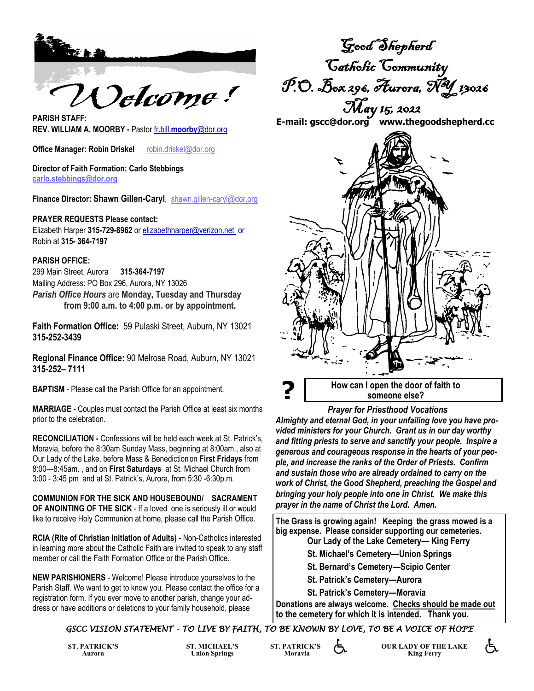

**REV. WILLIAM A. MOORBY -** Pastor fr.bill.**moorby**@dor.org

**Office Manager: Robin Driskel <br>robin.driskel@dor.org** 

**Director of Faith Formation: Carlo Stebbings carlo.stebbings@dor.org**

**Finance Director: Shawn Gillen-Caryl**, shawn.gillen-caryl@dor.org

#### **PRAYER REQUESTS Please contact:**

Elizabeth Harper **315-729-8962** or elizabethharper@verizon.net or Robin at **315- 364-7197**

#### **PARISH OFFICE:**

299 Main Street, Aurora **315-364-7197** Mailing Address: PO Box 296, Aurora, NY 13026 *Parish Office Hours* are **Monday, Tuesday and Thursday from 9:00 a.m. to 4:00 p.m. or by appointment.**

**Faith Formation Office:** 59 Pulaski Street, Auburn, NY 13021 **315-252-3439**

**Regional Finance Office:** 90 Melrose Road, Auburn, NY 13021 **315-252– 7111**

**BAPTISM** - Please call the Parish Office for an appointment.

**MARRIAGE -** Couples must contact the Parish Office at least six months prior to the celebration.

**RECONCILIATION -** Confessions will be held each week at St. Patrick's, Moravia, before the 8:30am Sunday Mass, beginning at 8:00am., also at Our Lady of the Lake, before Mass & Benediction on **First Fridays** from 8:00—8:45am. , and on **First Saturdays** at St. Michael Church from 3:00 - 3:45 pm and at St. Patrick's, Aurora, from 5:30 -6:30p.m.

**COMMUNION FOR THE SICK AND HOUSEBOUND/ SACRAMENT OF ANOINTING OF THE SICK** - If a loved one is seriously ill or would like to receive Holy Communion at home, please call the Parish Office.

**RCIA (Rite of Christian Initiation of Adults) -** Non-Catholics interested in learning more about the Catholic Faith are invited to speak to any staff member or call the Faith Formation Office or the Parish Office.

**NEW PARISHIONERS** - Welcome! Please introduce yourselves to the Parish Staff. We want to get to know you. Please contact the office for a registration form. If you ever move to another parish, change your address or have additions or deletions to your family household, please

Good Shepherd Catholic Community P.O. Box 296, Aurora, NY 13026 May 15, 2022

**E-mail: gscc@dor.org www.thegoodshepherd.cc PARISH STAFF:**



*Prayer for Priesthood Vocations*

*Almighty and eternal God, in your unfailing love you have provided ministers for your Church. Grant us in our day worthy and fitting priests to serve and sanctify your people. Inspire a generous and courageous response in the hearts of your people, and increase the ranks of the Order of Priests. Confirm and sustain those who are already ordained to carry on the work of Christ, the Good Shepherd, preaching the Gospel and bringing your holy people into one in Christ. We make this prayer in the name of Christ the Lord. Amen.*

**The Grass is growing again! Keeping the grass mowed is a big expense. Please consider supporting our cemeteries. Our Lady of the Lake Cemetery— King Ferry** 

- **St. Michael's Cemetery—Union Springs**
- **St. Bernard's Cemetery—Scipio Center**
- **St. Patrick's Cemetery—Aurora**
- **St. Patrick's Cemetery—Moravia**

**Donations are always welcome. Checks should be made out to the cemetery for which it is intended. Thank you.** 

### *GSCC VISION STATEMENT - TO LIVE BY FAITH, TO BE KNOWN BY LOVE, TO BE A VOICE OF HOPE*

**ST. PATRICK'S Aurora**

**ST. MICHAEL'S Union Springs**

**ST. PATRICK'S Moravia**

**OUR LADY OF THE LAKE King Ferry** 

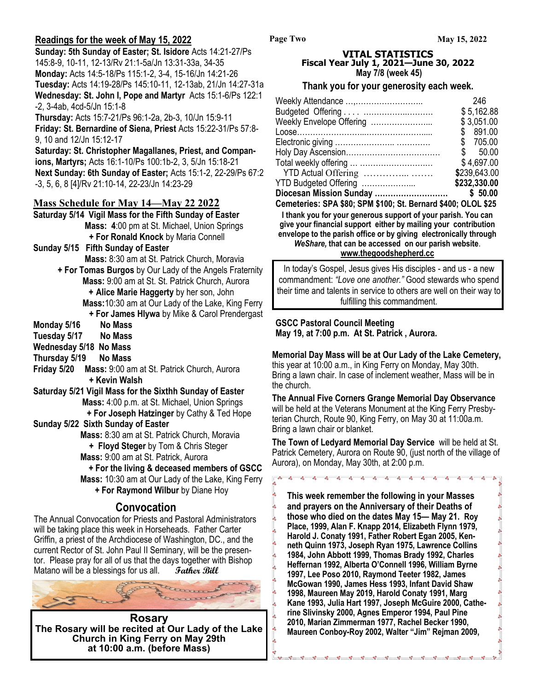### **Readings for the week of May 15, 2022**

**Sunday: 5th Sunday of Easter; St. Isidore** Acts 14:21-27/Ps 145:8-9, 10-11, 12-13/Rv 21:1-5a/Jn 13:31-33a, 34-35 **Monday:** Acts 14:5-18/Ps 115:1-2, 3-4, 15-16/Jn 14:21-26 **Tuesday:** Acts 14:19-28/Ps 145:10-11, 12-13ab, 21/Jn 14:27-31a **Wednesday: St. John I, Pope and Martyr** Acts 15:1-6/Ps 122:1 -2, 3-4ab, 4cd-5/Jn 15:1-8

**Thursday:** Acts 15:7-21/Ps 96:1-2a, 2b-3, 10/Jn 15:9-11 **Friday: St. Bernardine of Siena, Priest** Acts 15:22-31/Ps 57:8- 9, 10 and 12/Jn 15:12-17

**Saturday: St. Christopher Magallanes, Priest, and Companions, Martyrs;** Acts 16:1-10/Ps 100:1b-2, 3, 5/Jn 15:18-21 **Next Sunday: 6th Sunday of Easter;** Acts 15:1-2, 22-29/Ps 67:2 -3, 5, 6, 8 [4]/Rv 21:10-14, 22-23/Jn 14:23-29

### **Mass Schedule for May 14—May 22 2022**

**Saturday 5/14 Vigil Mass for the Fifth Sunday of Easter Mass: 4**:00 pm at St. Michael, Union Springs **+ For Ronald Knock** by Maria Connell

- **Sunday 5/15 Fifth Sunday of Easter Mass:** 8:30 am at St. Patrick Church, Moravia
	- **+ For Tomas Burgos** by Our Lady of the Angels Fraternity  **Mass:** 9:00 am at St. St. Patrick Church, Aurora  **+ Alice Marie Haggerty** by her son, John **Mass:**10:30 am at Our Lady of the Lake, King Ferry **+ For James Hlywa** by Mike & Carol Prendergast
- **Monday 5/16 No Mass**
- **Tuesday 5/17 No Mass**
- **Wednesday 5/18 No Mass**
- **Thursday 5/19 No Mass**

**Friday 5/20 Mass:** 9:00 am at St. Patrick Church, Aurora **+ Kevin Walsh**

**Saturday 5/21 Vigil Mass for the Sixthh Sunday of Easter Mass:** 4:00 p.m. at St. Michael, Union Springs **+ For Joseph Hatzinger** by Cathy & Ted Hope

**Sunday 5/22 Sixth Sunday of Easter** 

**Mass:** 8:30 am at St. Patrick Church, Moravia **+ Floyd Steger** by Tom & Chris Steger **Mass:** 9:00 am at St. Patrick, Aurora

 **+ For the living & deceased members of GSCC Mass:** 10:30 am at Our Lady of the Lake, King Ferry **+ For Raymond Wilbur** by Diane Hoy

្ងៃ ೢೢ ∘∘

...

 $\circ$ ೲ  $\frac{1}{2}$ 

# **Convocation**

The Annual Convocation for Priests and Pastoral Administrators will be taking place this week in Horseheads. Father Carter Griffin, a priest of the Archdiocese of Washington, DC., and the current Rector of St. John Paul II Seminary, will be the presentor. Please pray for all of us that the days together with Bishop Matano will be a blessings for us all. Father Bill



**Rosary The Rosary will be recited at Our Lady of the Lake Church in King Ferry on May 29th at 10:00 a.m. (before Mass)**

#### **VITAL STATISTICS Fiscal Year July 1, 2021—June 30, 2022 May 7/8 (week 45)**

**Page Two**

#### **Thank you for your generosity each week.**

| Weekly Attendance ,      | 246          |
|--------------------------|--------------|
|                          | \$5,162.88   |
| Weekly Envelope Offering | \$3,051.00   |
|                          | \$891.00     |
|                          | \$705.00     |
|                          |              |
| Total weekly offering    | \$4,697.00   |
|                          | \$239,643.00 |
| YTD Budgeted Offering    | \$232,330.00 |
|                          |              |

**Cemeteries: SPA \$80; SPM \$100; St. Bernard \$400; OLOL \$25 I thank you for your generous support of your parish. You can give your financial support either by mailing your contribution envelope to the parish office or by giving electronically through**  *WeShare,* **that can be accessed on our parish website**. **www.thegoodshepherd.cc**

In today's Gospel, Jesus gives His disciples - and us - a new commandment: *"Love one another."* Good stewards who spend their time and talents in service to others are well on their way to fulfilling this commandment.

#### **GSCC Pastoral Council Meeting May 19, at 7:00 p.m. At St. Patrick , Aurora.**

**Memorial Day Mass will be at Our Lady of the Lake Cemetery,**  this year at 10:00 a.m., in King Ferry on Monday, May 30th. Bring a lawn chair. In case of inclement weather, Mass will be in the church.

**The Annual Five Corners Grange Memorial Day Observance**  will be held at the Veterans Monument at the King Ferry Presbyterian Church, Route 90, King Ferry, on May 30 at 11:00a.m. Bring a lawn chair or blanket.

**The Town of Ledyard Memorial Day Service** will be held at St. Patrick Cemetery, Aurora on Route 90, (just north of the village of Aurora), on Monday, May 30th, at 2:00 p.m.

**This week remember the following in your Masses and prayers on the Anniversary of their Deaths of those who died on the dates May 15— May 21. Roy Place, 1999, Alan F. Knapp 2014, Elizabeth Flynn 1979, Harold J. Conaty 1991, Father Robert Egan 2005, Kenneth Quinn 1973, Joseph Ryan 1975, Lawrence Collins 1984, John Abbott 1999, Thomas Brady 1992, Charles Heffernan 1992, Alberta O'Connell 1996, William Byrne 1997, Lee Poso 2010, Raymond Teeter 1982, James McGowan 1990, James Hess 1993, Infant David Shaw 1998, Maureen May 2019, Harold Conaty 1991, Marg Kane 1993, Julia Hart 1997, Joseph McGuire 2000, Catherine Slivinsky 2000, Agnes Emperor 1994, Paul Pine 2010, Marian Zimmerman 1977, Rachel Becker 1990, Maureen Conboy-Roy 2002, Walter "Jim" Rejman 2009,**